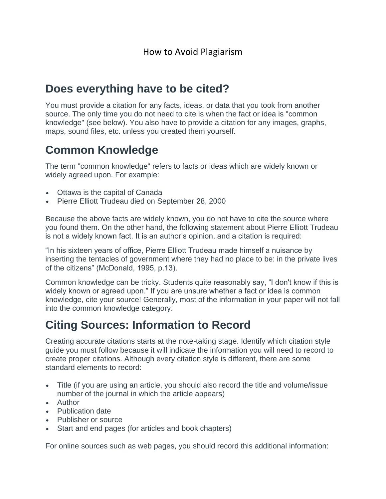### **Does everything have to be cited?**

You must provide a citation for any facts, ideas, or data that you took from another source. The only time you do not need to cite is when the fact or idea is "common knowledge" (see below). You also have to provide a citation for any images, graphs, maps, sound files, etc. unless you created them yourself.

## **Common Knowledge**

The term "common knowledge" refers to facts or ideas which are widely known or widely agreed upon. For example:

- Ottawa is the capital of Canada
- Pierre Elliott Trudeau died on September 28, 2000

Because the above facts are widely known, you do not have to cite the source where you found them. On the other hand, the following statement about Pierre Elliott Trudeau is not a widely known fact. It is an author's opinion, and a citation is required:

"In his sixteen years of office, Pierre Elliott Trudeau made himself a nuisance by inserting the tentacles of government where they had no place to be: in the private lives of the citizens" (McDonald, 1995, p.13).

Common knowledge can be tricky. Students quite reasonably say, "I don't know if this is widely known or agreed upon." If you are unsure whether a fact or idea is common knowledge, cite your source! Generally, most of the information in your paper will not fall into the common knowledge category.

## **Citing Sources: Information to Record**

Creating accurate citations starts at the note-taking stage. Identify which citation style guide you must follow because it will indicate the information you will need to record to create proper citations. Although every citation style is different, there are some standard elements to record:

- Title (if you are using an article, you should also record the title and volume/issue number of the journal in which the article appears)
- Author
- Publication date
- Publisher or source
- Start and end pages (for articles and book chapters)

For online sources such as web pages, you should record this additional information: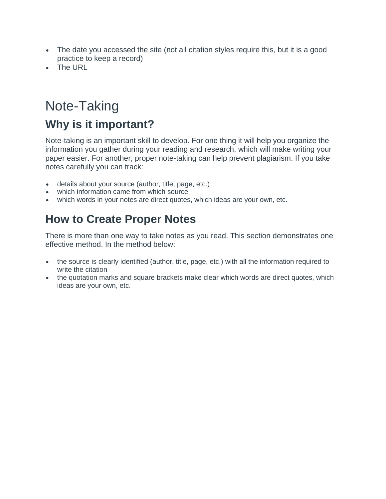- The date you accessed the site (not all citation styles require this, but it is a good practice to keep a record)
- The URL

# Note-Taking **Why is it important?**

Note-taking is an important skill to develop. For one thing it will help you organize the information you gather during your reading and research, which will make writing your paper easier. For another, proper note-taking can help prevent plagiarism. If you take notes carefully you can track:

- details about your source (author, title, page, etc.)
- which information came from which source
- which words in your notes are direct quotes, which ideas are your own, etc.

## **How to Create Proper Notes**

There is more than one way to take notes as you read. This section demonstrates one effective method. In the method below:

- the source is clearly identified (author, title, page, etc.) with all the information required to write the citation
- the quotation marks and square brackets make clear which words are direct quotes, which ideas are your own, etc.